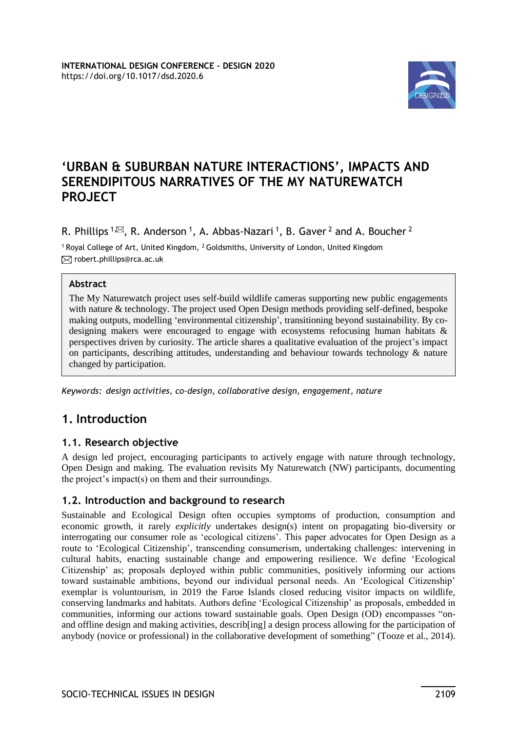

# **'URBAN & SUBURBAN NATURE INTERACTIONS', IMPACTS AND SERENDIPITOUS NARRATIVES OF THE MY NATUREWATCH PROJECT**

R. Phillips <sup>1, $\boxtimes$ </sup>, R. Anderson <sup>1</sup>, A. Abbas-Nazari <sup>1</sup>, B. Gaver <sup>2</sup> and A. Boucher <sup>2</sup> <sup>1</sup> Royal College of Art, United Kingdom, <sup>2</sup> Goldsmiths, University of London, United Kingdom

 $\boxtimes$  robert.phillips@rca.ac.uk

### **Abstract**

The My Naturewatch project uses self-build wildlife cameras supporting new public engagements with nature & technology. The project used Open Design methods providing self-defined, bespoke making outputs, modelling 'environmental citizenship', transitioning beyond sustainability. By codesigning makers were encouraged to engage with ecosystems refocusing human habitats & perspectives driven by curiosity. The article shares a qualitative evaluation of the project's impact on participants, describing attitudes, understanding and behaviour towards technology & nature changed by participation.

*Keywords: design activities, co-design, collaborative design, engagement, nature*

# **1. Introduction**

# **1.1. Research objective**

A design led project, encouraging participants to actively engage with nature through technology, Open Design and making. The evaluation revisits My Naturewatch (NW) participants, documenting the project's impact(s) on them and their surroundings.

# **1.2. Introduction and background to research**

Sustainable and Ecological Design often occupies symptoms of production, consumption and economic growth, it rarely *explicitly* undertakes design(s) intent on propagating bio-diversity or interrogating our consumer role as 'ecological citizens'. This paper advocates for Open Design as a route to 'Ecological Citizenship', transcending consumerism, undertaking challenges: intervening in cultural habits, enacting sustainable change and empowering resilience. We define 'Ecological Citizenship' as; proposals deployed within public communities, positively informing our actions toward sustainable ambitions, beyond our individual personal needs. An 'Ecological Citizenship' exemplar is voluntourism, in 2019 the Faroe Islands closed reducing visitor impacts on wildlife, conserving landmarks and habitats. Authors define 'Ecological Citizenship' as proposals, embedded in communities, informing our actions toward sustainable goals. Open Design (OD) encompasses "onand offline design and making activities, describ[ing] a design process allowing for the participation of anybody (novice or professional) in the collaborative development of something" (Tooze et al., 2014).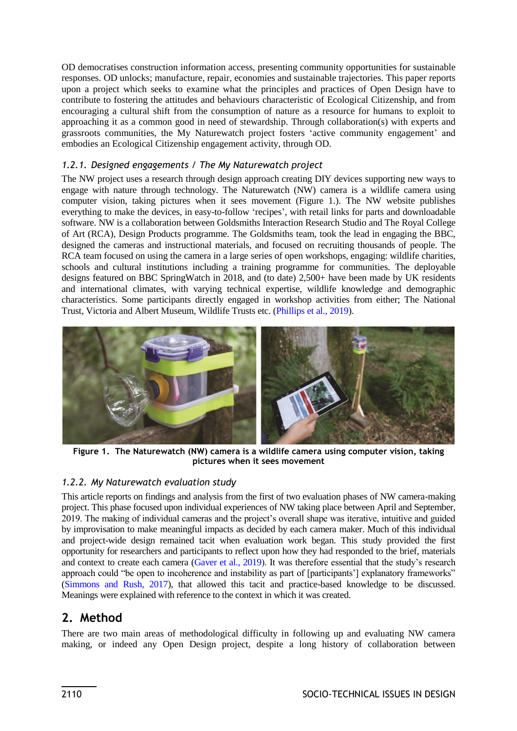OD democratises construction information access, presenting community opportunities for sustainable responses. OD unlocks; manufacture, repair, economies and sustainable trajectories. This paper reports upon a project which seeks to examine what the principles and practices of Open Design have to contribute to fostering the attitudes and behaviours characteristic of Ecological Citizenship, and from encouraging a cultural shift from the consumption of nature as a resource for humans to exploit to approaching it as a common good in need of stewardship. Through collaboration(s) with experts and grassroots communities, the My Naturewatch project fosters 'active community engagement' and embodies an Ecological Citizenship engagement activity, through OD.

# *1.2.1. Designed engagements / The My Naturewatch project*

The NW project uses a research through design approach creating DIY devices supporting new ways to engage with nature through technology. The Naturewatch (NW) camera is a wildlife camera using computer vision, taking pictures when it sees movement (Figure 1.). The NW website publishes everything to make the devices, in easy-to-follow 'recipes', with retail links for parts and downloadable software. NW is a collaboration between Goldsmiths Interaction Research Studio and The Royal College of Art (RCA), Design Products programme. The Goldsmiths team, took the lead in engaging the BBC, designed the cameras and instructional materials, and focused on recruiting thousands of people. The RCA team focused on using the camera in a large series of open workshops, engaging: wildlife charities, schools and cultural institutions including a training programme for communities. The deployable designs featured on BBC SpringWatch in 2018, and (to date) 2,500+ have been made by UK residents and international climates, with varying technical expertise, wildlife knowledge and demographic characteristics. Some participants directly engaged in workshop activities from either; The National Trust, Victoria and Albert Museum, Wildlife Trusts etc. [\(Phillips et al., 2019\)](#page-9-0).



**Figure 1. The Naturewatch (NW) camera is a wildlife camera using computer vision, taking pictures when it sees movement**

# *1.2.2. My Naturewatch evaluation study*

This article reports on findings and analysis from the first of two evaluation phases of NW camera-making project. This phase focused upon individual experiences of NW taking place between April and September, 2019. The making of individual cameras and the project's overall shape was iterative, intuitive and guided by improvisation to make meaningful impacts as decided by each camera maker. Much of this individual and project-wide design remained tacit when evaluation work began. This study provided the first opportunity for researchers and participants to reflect upon how they had responded to the brief, materials and context to create each camera [\(Gaver et al., 2019\)](#page-9-1). It was therefore essential that the study's research approach could "be open to incoherence and instability as part of [participants'] explanatory frameworks" [\(Simmons and Rush, 2017\)](#page-9-2), that allowed this tacit and practice-based knowledge to be discussed. Meanings were explained with reference to the context in which it was created.

# **2. Method**

There are two main areas of methodological difficulty in following up and evaluating NW camera making, or indeed any Open Design project, despite a long history of collaboration between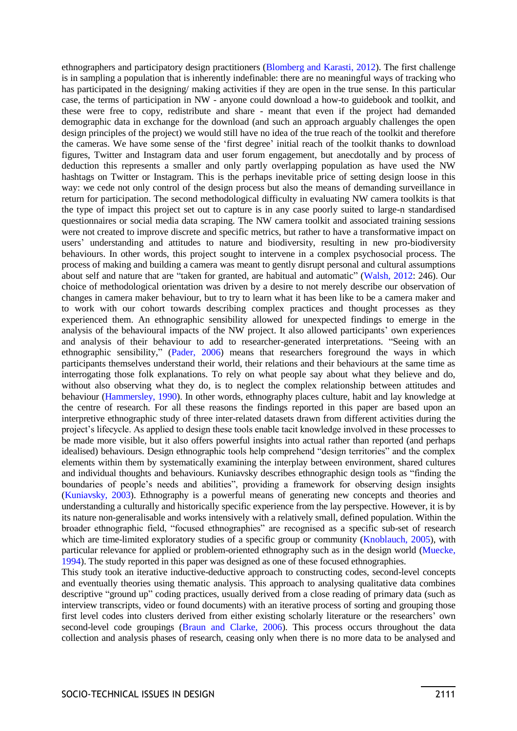ethnographers and participatory design practitioners [\(Blomberg and Karasti, 2012\)](#page-9-3). The first challenge is in sampling a population that is inherently indefinable: there are no meaningful ways of tracking who has participated in the designing/ making activities if they are open in the true sense. In this particular case, the terms of participation in NW - anyone could download a how-to guidebook and toolkit, and these were free to copy, redistribute and share - meant that even if the project had demanded demographic data in exchange for the download (and such an approach arguably challenges the open design principles of the project) we would still have no idea of the true reach of the toolkit and therefore the cameras. We have some sense of the 'first degree' initial reach of the toolkit thanks to download figures, Twitter and Instagram data and user forum engagement, but anecdotally and by process of deduction this represents a smaller and only partly overlapping population as have used the NW hashtags on Twitter or Instagram. This is the perhaps inevitable price of setting design loose in this way: we cede not only control of the design process but also the means of demanding surveillance in return for participation. The second methodological difficulty in evaluating NW camera toolkits is that the type of impact this project set out to capture is in any case poorly suited to large-n standardised questionnaires or social media data scraping. The NW camera toolkit and associated training sessions were not created to improve discrete and specific metrics, but rather to have a transformative impact on users' understanding and attitudes to nature and biodiversity, resulting in new pro-biodiversity behaviours. In other words, this project sought to intervene in a complex psychosocial process. The process of making and building a camera was meant to gently disrupt personal and cultural assumptions about self and nature that are "taken for granted, are habitual and automatic" [\(Walsh, 2012:](#page-9-4) 246). Our choice of methodological orientation was driven by a desire to not merely describe our observation of changes in camera maker behaviour, but to try to learn what it has been like to be a camera maker and to work with our cohort towards describing complex practices and thought processes as they experienced them. An ethnographic sensibility allowed for unexpected findings to emerge in the analysis of the behavioural impacts of the NW project. It also allowed participants' own experiences and analysis of their behaviour to add to researcher-generated interpretations. "Seeing with an ethnographic sensibility," [\(Pader, 2006\)](#page-9-5) means that researchers foreground the ways in which participants themselves understand their world, their relations and their behaviours at the same time as interrogating those folk explanations. To rely on what people say about what they believe and do, without also observing what they do, is to neglect the complex relationship between attitudes and behaviour [\(Hammersley, 1990\)](#page-9-6). In other words, ethnography places culture, habit and lay knowledge at the centre of research. For all these reasons the findings reported in this paper are based upon an interpretive ethnographic study of three inter-related datasets drawn from different activities during the project's lifecycle. As applied to design these tools enable tacit knowledge involved in these processes to be made more visible, but it also offers powerful insights into actual rather than reported (and perhaps idealised) behaviours. Design ethnographic tools help comprehend "design territories" and the complex elements within them by systematically examining the interplay between environment, shared cultures and individual thoughts and behaviours. Kuniavsky describes ethnographic design tools as "finding the boundaries of people's needs and abilities", providing a framework for observing design insights [\(Kuniavsky, 2003\)](#page-9-7). Ethnography is a powerful means of generating new concepts and theories and understanding a culturally and historically specific experience from the lay perspective. However, it is by its nature non-generalisable and works intensively with a relatively small, defined population. Within the broader ethnographic field, "focused ethnographies" are recognised as a specific sub-set of research which are time-limited exploratory studies of a specific group or community [\(Knoblauch, 2005\)](#page-9-7), with particular relevance for applied or problem-oriented ethnography such as in the design world [\(Muecke,](#page-9-5)  [1994\)](#page-9-5). The study reported in this paper was designed as one of these focused ethnographies.

This study took an iterative inductive-deductive approach to constructing codes, second-level concepts and eventually theories using thematic analysis. This approach to analysing qualitative data combines descriptive "ground up" coding practices, usually derived from a close reading of primary data (such as interview transcripts, video or found documents) with an iterative process of sorting and grouping those first level codes into clusters derived from either existing scholarly literature or the researchers' own second-level code groupings [\(Braun and Clarke, 2006\)](#page-9-8). This process occurs throughout the data collection and analysis phases of research, ceasing only when there is no more data to be analysed and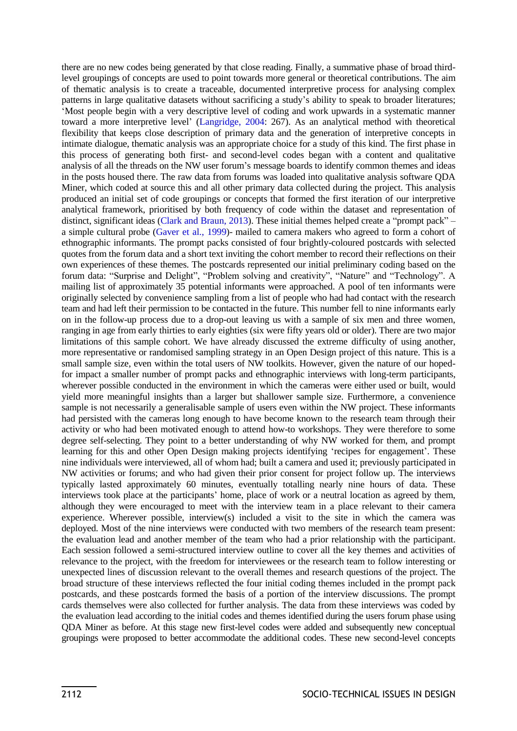there are no new codes being generated by that close reading. Finally, a summative phase of broad thirdlevel groupings of concepts are used to point towards more general or theoretical contributions. The aim of thematic analysis is to create a traceable, documented interpretive process for analysing complex patterns in large qualitative datasets without sacrificing a study's ability to speak to broader literatures; 'Most people begin with a very descriptive level of coding and work upwards in a systematic manner toward a more interpretive level' [\(Langridge, 2004:](#page-9-9) 267). As an analytical method with theoretical flexibility that keeps close description of primary data and the generation of interpretive concepts in intimate dialogue, thematic analysis was an appropriate choice for a study of this kind. The first phase in this process of generating both first- and second-level codes began with a content and qualitative analysis of all the threads on the NW user forum's message boards to identify common themes and ideas in the posts housed there. The raw data from forums was loaded into qualitative analysis software QDA Miner, which coded at source this and all other primary data collected during the project. This analysis produced an initial set of code groupings or concepts that formed the first iteration of our interpretive analytical framework, prioritised by both frequency of code within the dataset and representation of distinct, significant ideas [\(Clark and Braun, 2013\)](#page-9-10). These initial themes helped create a "prompt pack" – a simple cultural probe [\(Gaver et al.,](#page-9-10) 1999)- mailed to camera makers who agreed to form a cohort of ethnographic informants. The prompt packs consisted of four brightly-coloured postcards with selected quotes from the forum data and a short text inviting the cohort member to record their reflections on their own experiences of these themes. The postcards represented our initial preliminary coding based on the forum data: "Surprise and Delight", "Problem solving and creativity", "Nature" and "Technology". A mailing list of approximately 35 potential informants were approached. A pool of ten informants were originally selected by convenience sampling from a list of people who had had contact with the research team and had left their permission to be contacted in the future. This number fell to nine informants early on in the follow-up process due to a drop-out leaving us with a sample of six men and three women, ranging in age from early thirties to early eighties (six were fifty years old or older). There are two major limitations of this sample cohort. We have already discussed the extreme difficulty of using another, more representative or randomised sampling strategy in an Open Design project of this nature. This is a small sample size, even within the total users of NW toolkits. However, given the nature of our hopedfor impact a smaller number of prompt packs and ethnographic interviews with long-term participants, wherever possible conducted in the environment in which the cameras were either used or built, would yield more meaningful insights than a larger but shallower sample size. Furthermore, a convenience sample is not necessarily a generalisable sample of users even within the NW project. These informants had persisted with the cameras long enough to have become known to the research team through their activity or who had been motivated enough to attend how-to workshops. They were therefore to some degree self-selecting. They point to a better understanding of why NW worked for them, and prompt learning for this and other Open Design making projects identifying 'recipes for engagement'. These nine individuals were interviewed, all of whom had; built a camera and used it; previously participated in NW activities or forums; and who had given their prior consent for project follow up. The interviews typically lasted approximately 60 minutes, eventually totalling nearly nine hours of data. These interviews took place at the participants' home, place of work or a neutral location as agreed by them, although they were encouraged to meet with the interview team in a place relevant to their camera experience. Wherever possible, interview(s) included a visit to the site in which the camera was deployed. Most of the nine interviews were conducted with two members of the research team present: the evaluation lead and another member of the team who had a prior relationship with the participant. Each session followed a semi-structured interview outline to cover all the key themes and activities of relevance to the project, with the freedom for interviewees or the research team to follow interesting or unexpected lines of discussion relevant to the overall themes and research questions of the project. The broad structure of these interviews reflected the four initial coding themes included in the prompt pack postcards, and these postcards formed the basis of a portion of the interview discussions. The prompt cards themselves were also collected for further analysis. The data from these interviews was coded by the evaluation lead according to the initial codes and themes identified during the users forum phase using QDA Miner as before. At this stage new first-level codes were added and subsequently new conceptual groupings were proposed to better accommodate the additional codes. These new second-level concepts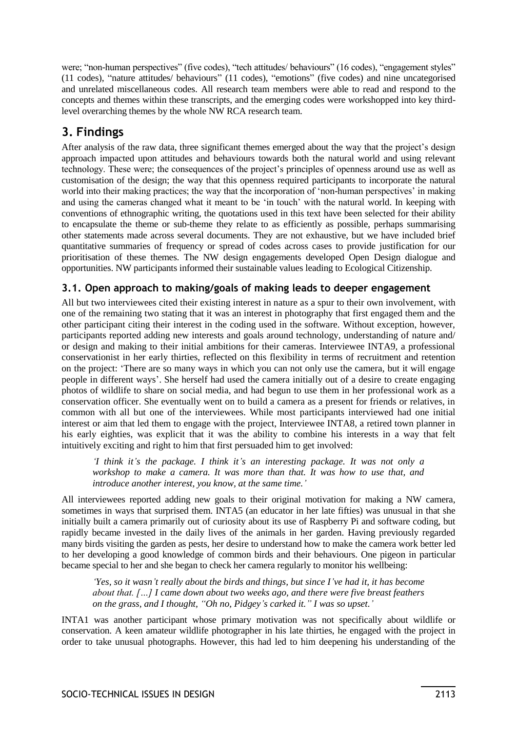were; "non-human perspectives" (five codes), "tech attitudes/ behaviours" (16 codes), "engagement styles" (11 codes), "nature attitudes/ behaviours" (11 codes), "emotions" (five codes) and nine uncategorised and unrelated miscellaneous codes. All research team members were able to read and respond to the concepts and themes within these transcripts, and the emerging codes were workshopped into key thirdlevel overarching themes by the whole NW RCA research team.

# **3. Findings**

After analysis of the raw data, three significant themes emerged about the way that the project's design approach impacted upon attitudes and behaviours towards both the natural world and using relevant technology. These were; the consequences of the project's principles of openness around use as well as customisation of the design; the way that this openness required participants to incorporate the natural world into their making practices; the way that the incorporation of 'non-human perspectives' in making and using the cameras changed what it meant to be 'in touch' with the natural world. In keeping with conventions of ethnographic writing, the quotations used in this text have been selected for their ability to encapsulate the theme or sub-theme they relate to as efficiently as possible, perhaps summarising other statements made across several documents. They are not exhaustive, but we have included brief quantitative summaries of frequency or spread of codes across cases to provide justification for our prioritisation of these themes. The NW design engagements developed Open Design dialogue and opportunities. NW participants informed their sustainable values leading to Ecological Citizenship.

# **3.1. Open approach to making/goals of making leads to deeper engagement**

All but two interviewees cited their existing interest in nature as a spur to their own involvement, with one of the remaining two stating that it was an interest in photography that first engaged them and the other participant citing their interest in the coding used in the software. Without exception, however, participants reported adding new interests and goals around technology, understanding of nature and/ or design and making to their initial ambitions for their cameras. Interviewee INTA9, a professional conservationist in her early thirties, reflected on this flexibility in terms of recruitment and retention on the project: 'There are so many ways in which you can not only use the camera, but it will engage people in different ways'. She herself had used the camera initially out of a desire to create engaging photos of wildlife to share on social media, and had begun to use them in her professional work as a conservation officer. She eventually went on to build a camera as a present for friends or relatives, in common with all but one of the interviewees. While most participants interviewed had one initial interest or aim that led them to engage with the project, Interviewee INTA8, a retired town planner in his early eighties, was explicit that it was the ability to combine his interests in a way that felt intuitively exciting and right to him that first persuaded him to get involved:

*'I think it's the package. I think it's an interesting package. It was not only a workshop to make a camera. It was more than that. It was how to use that, and introduce another interest, you know, at the same time.'*

All interviewees reported adding new goals to their original motivation for making a NW camera, sometimes in ways that surprised them. INTA5 (an educator in her late fifties) was unusual in that she initially built a camera primarily out of curiosity about its use of Raspberry Pi and software coding, but rapidly became invested in the daily lives of the animals in her garden. Having previously regarded many birds visiting the garden as pests, her desire to understand how to make the camera work better led to her developing a good knowledge of common birds and their behaviours. One pigeon in particular became special to her and she began to check her camera regularly to monitor his wellbeing:

*'Yes, so it wasn't really about the birds and things, but since I've had it, it has become about that. […] I came down about two weeks ago, and there were five breast feathers on the grass, and I thought, "Oh no, Pidgey's carked it." I was so upset.'*

INTA1 was another participant whose primary motivation was not specifically about wildlife or conservation. A keen amateur wildlife photographer in his late thirties, he engaged with the project in order to take unusual photographs. However, this had led to him deepening his understanding of the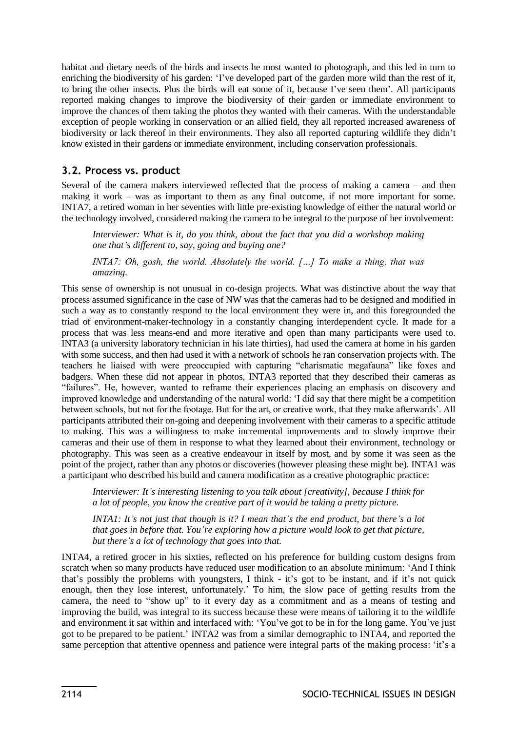habitat and dietary needs of the birds and insects he most wanted to photograph, and this led in turn to enriching the biodiversity of his garden: 'I've developed part of the garden more wild than the rest of it, to bring the other insects. Plus the birds will eat some of it, because I've seen them'. All participants reported making changes to improve the biodiversity of their garden or immediate environment to improve the chances of them taking the photos they wanted with their cameras. With the understandable exception of people working in conservation or an allied field, they all reported increased awareness of biodiversity or lack thereof in their environments. They also all reported capturing wildlife they didn't know existed in their gardens or immediate environment, including conservation professionals.

# **3.2. Process vs. product**

Several of the camera makers interviewed reflected that the process of making a camera – and then making it work – was as important to them as any final outcome, if not more important for some. INTA7, a retired woman in her seventies with little pre-existing knowledge of either the natural world or the technology involved, considered making the camera to be integral to the purpose of her involvement:

*Interviewer: What is it, do you think, about the fact that you did a workshop making one that's different to, say, going and buying one?*

*INTA7: Oh, gosh, the world. Absolutely the world. […] To make a thing, that was amazing.*

This sense of ownership is not unusual in co-design projects. What was distinctive about the way that process assumed significance in the case of NW was that the cameras had to be designed and modified in such a way as to constantly respond to the local environment they were in, and this foregrounded the triad of environment-maker-technology in a constantly changing interdependent cycle. It made for a process that was less means-end and more iterative and open than many participants were used to. INTA3 (a university laboratory technician in his late thirties), had used the camera at home in his garden with some success, and then had used it with a network of schools he ran conservation projects with. The teachers he liaised with were preoccupied with capturing "charismatic megafauna" like foxes and badgers. When these did not appear in photos, INTA3 reported that they described their cameras as "failures". He, however, wanted to reframe their experiences placing an emphasis on discovery and improved knowledge and understanding of the natural world: 'I did say that there might be a competition between schools, but not for the footage. But for the art, or creative work, that they make afterwards'. All participants attributed their on-going and deepening involvement with their cameras to a specific attitude to making. This was a willingness to make incremental improvements and to slowly improve their cameras and their use of them in response to what they learned about their environment, technology or photography. This was seen as a creative endeavour in itself by most, and by some it was seen as the point of the project, rather than any photos or discoveries (however pleasing these might be). INTA1 was a participant who described his build and camera modification as a creative photographic practice:

*Interviewer: It's interesting listening to you talk about [creativity], because I think for a lot of people, you know the creative part of it would be taking a pretty picture.*

*INTA1: It's not just that though is it? I mean that's the end product, but there's a lot that goes in before that. You're exploring how a picture would look to get that picture, but there's a lot of technology that goes into that.*

INTA4, a retired grocer in his sixties, reflected on his preference for building custom designs from scratch when so many products have reduced user modification to an absolute minimum: 'And I think that's possibly the problems with youngsters, I think - it's got to be instant, and if it's not quick enough, then they lose interest, unfortunately.' To him, the slow pace of getting results from the camera, the need to "show up" to it every day as a commitment and as a means of testing and improving the build, was integral to its success because these were means of tailoring it to the wildlife and environment it sat within and interfaced with: 'You've got to be in for the long game. You've just got to be prepared to be patient.' INTA2 was from a similar demographic to INTA4, and reported the same perception that attentive openness and patience were integral parts of the making process: 'it's a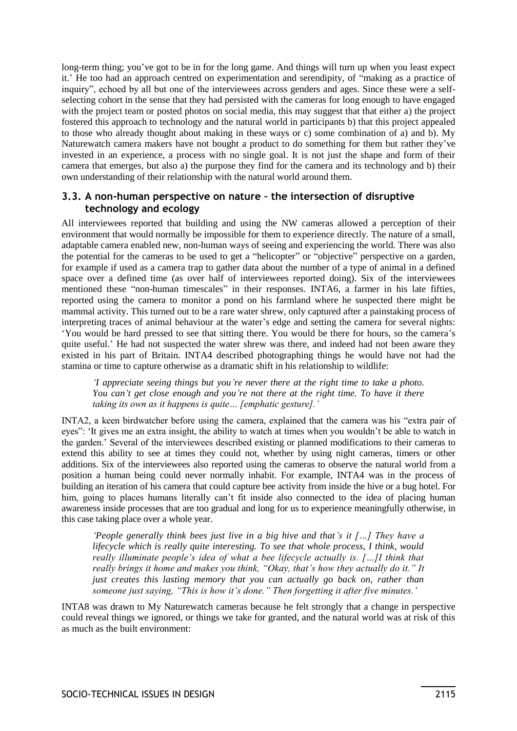long-term thing; you've got to be in for the long game. And things will turn up when you least expect it.' He too had an approach centred on experimentation and serendipity, of "making as a practice of inquiry", echoed by all but one of the interviewees across genders and ages. Since these were a selfselecting cohort in the sense that they had persisted with the cameras for long enough to have engaged with the project team or posted photos on social media, this may suggest that that either a) the project fostered this approach to technology and the natural world in participants b) that this project appealed to those who already thought about making in these ways or c) some combination of a) and b). My Naturewatch camera makers have not bought a product to do something for them but rather they've invested in an experience, a process with no single goal. It is not just the shape and form of their camera that emerges, but also a) the purpose they find for the camera and its technology and b) their own understanding of their relationship with the natural world around them.

### **3.3. A non-human perspective on nature – the intersection of disruptive technology and ecology**

All interviewees reported that building and using the NW cameras allowed a perception of their environment that would normally be impossible for them to experience directly. The nature of a small, adaptable camera enabled new, non-human ways of seeing and experiencing the world. There was also the potential for the cameras to be used to get a "helicopter" or "objective" perspective on a garden, for example if used as a camera trap to gather data about the number of a type of animal in a defined space over a defined time (as over half of interviewees reported doing). Six of the interviewees mentioned these "non-human timescales" in their responses. INTA6, a farmer in his late fifties, reported using the camera to monitor a pond on his farmland where he suspected there might be mammal activity. This turned out to be a rare water shrew, only captured after a painstaking process of interpreting traces of animal behaviour at the water's edge and setting the camera for several nights: 'You would be hard pressed to see that sitting there. You would be there for hours, so the camera's quite useful.' He had not suspected the water shrew was there, and indeed had not been aware they existed in his part of Britain. INTA4 described photographing things he would have not had the stamina or time to capture otherwise as a dramatic shift in his relationship to wildlife:

*'I appreciate seeing things but you're never there at the right time to take a photo. You can't get close enough and you're not there at the right time. To have it there taking its own as it happens is quite… [emphatic gesture].'*

INTA2, a keen birdwatcher before using the camera, explained that the camera was his "extra pair of eyes": 'It gives me an extra insight, the ability to watch at times when you wouldn't be able to watch in the garden.' Several of the interviewees described existing or planned modifications to their cameras to extend this ability to see at times they could not, whether by using night cameras, timers or other additions. Six of the interviewees also reported using the cameras to observe the natural world from a position a human being could never normally inhabit. For example, INTA4 was in the process of building an iteration of his camera that could capture bee activity from inside the hive or a bug hotel. For him, going to places humans literally can't fit inside also connected to the idea of placing human awareness inside processes that are too gradual and long for us to experience meaningfully otherwise, in this case taking place over a whole year.

*'People generally think bees just live in a big hive and that's it […] They have a lifecycle which is really quite interesting. To see that whole process, I think, would really illuminate people's idea of what a bee lifecycle actually is. […]I think that really brings it home and makes you think, "Okay, that's how they actually do it." It just creates this lasting memory that you can actually go back on, rather than someone just saying, "This is how it's done." Then forgetting it after five minutes.'*

INTA8 was drawn to My Naturewatch cameras because he felt strongly that a change in perspective could reveal things we ignored, or things we take for granted, and the natural world was at risk of this as much as the built environment: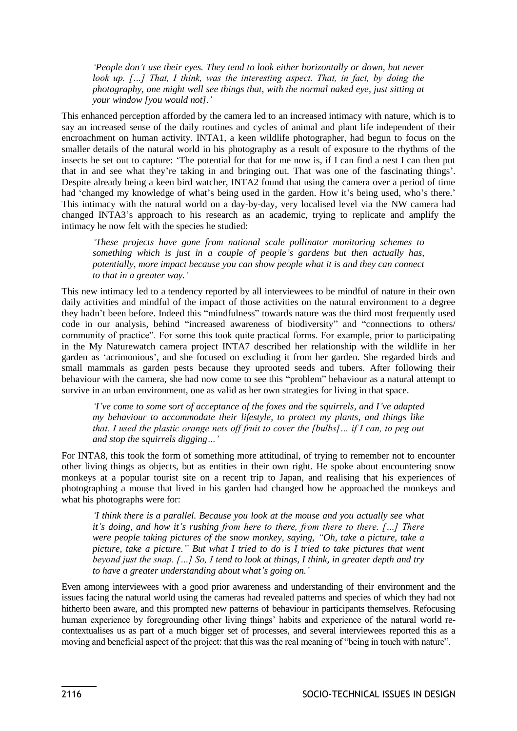*'People don't use their eyes. They tend to look either horizontally or down, but never look up. […] That, I think, was the interesting aspect. That, in fact, by doing the photography, one might well see things that, with the normal naked eye, just sitting at your window [you would not].'*

This enhanced perception afforded by the camera led to an increased intimacy with nature, which is to say an increased sense of the daily routines and cycles of animal and plant life independent of their encroachment on human activity. INTA1, a keen wildlife photographer, had begun to focus on the smaller details of the natural world in his photography as a result of exposure to the rhythms of the insects he set out to capture: 'The potential for that for me now is, if I can find a nest I can then put that in and see what they're taking in and bringing out. That was one of the fascinating things'. Despite already being a keen bird watcher, INTA2 found that using the camera over a period of time had 'changed my knowledge of what's being used in the garden. How it's being used, who's there.' This intimacy with the natural world on a day-by-day, very localised level via the NW camera had changed INTA3's approach to his research as an academic, trying to replicate and amplify the intimacy he now felt with the species he studied:

*'These projects have gone from national scale pollinator monitoring schemes to something which is just in a couple of people's gardens but then actually has, potentially, more impact because you can show people what it is and they can connect to that in a greater way.'*

This new intimacy led to a tendency reported by all interviewees to be mindful of nature in their own daily activities and mindful of the impact of those activities on the natural environment to a degree they hadn't been before. Indeed this "mindfulness" towards nature was the third most frequently used code in our analysis, behind "increased awareness of biodiversity" and "connections to others/ community of practice". For some this took quite practical forms. For example, prior to participating in the My Naturewatch camera project INTA7 described her relationship with the wildlife in her garden as 'acrimonious', and she focused on excluding it from her garden. She regarded birds and small mammals as garden pests because they uprooted seeds and tubers. After following their behaviour with the camera, she had now come to see this "problem" behaviour as a natural attempt to survive in an urban environment, one as valid as her own strategies for living in that space.

*'I've come to some sort of acceptance of the foxes and the squirrels, and I've adapted my behaviour to accommodate their lifestyle, to protect my plants, and things like that. I used the plastic orange nets off fruit to cover the [bulbs]… if I can, to peg out and stop the squirrels digging…'*

For INTA8, this took the form of something more attitudinal, of trying to remember not to encounter other living things as objects, but as entities in their own right. He spoke about encountering snow monkeys at a popular tourist site on a recent trip to Japan, and realising that his experiences of photographing a mouse that lived in his garden had changed how he approached the monkeys and what his photographs were for:

*'I think there is a parallel. Because you look at the mouse and you actually see what it's doing, and how it's rushing from here to there, from there to there. […] There were people taking pictures of the snow monkey, saying, "Oh, take a picture, take a picture, take a picture." But what I tried to do is I tried to take pictures that went beyond just the snap. […] So, I tend to look at things, I think, in greater depth and try to have a greater understanding about what's going on.'*

Even among interviewees with a good prior awareness and understanding of their environment and the issues facing the natural world using the cameras had revealed patterns and species of which they had not hitherto been aware, and this prompted new patterns of behaviour in participants themselves. Refocusing human experience by foregrounding other living things' habits and experience of the natural world recontextualises us as part of a much bigger set of processes, and several interviewees reported this as a moving and beneficial aspect of the project: that this was the real meaning of "being in touch with nature".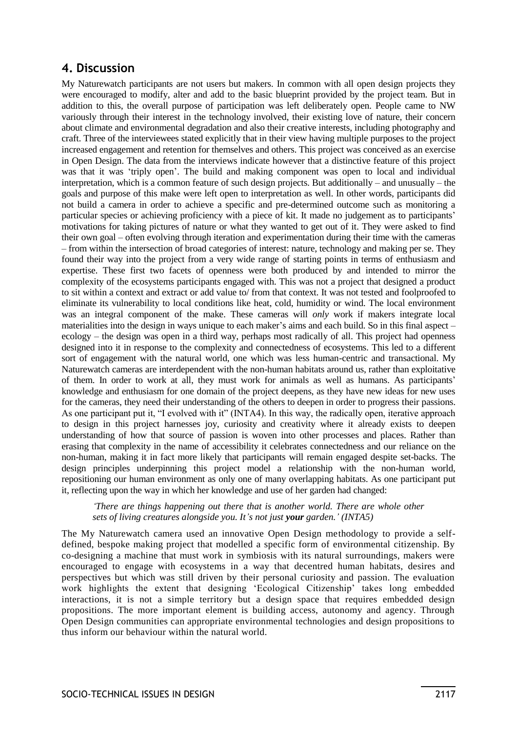# **4. Discussion**

My Naturewatch participants are not users but makers. In common with all open design projects they were encouraged to modify, alter and add to the basic blueprint provided by the project team. But in addition to this, the overall purpose of participation was left deliberately open. People came to NW variously through their interest in the technology involved, their existing love of nature, their concern about climate and environmental degradation and also their creative interests, including photography and craft. Three of the interviewees stated explicitly that in their view having multiple purposes to the project increased engagement and retention for themselves and others. This project was conceived as an exercise in Open Design. The data from the interviews indicate however that a distinctive feature of this project was that it was 'triply open'. The build and making component was open to local and individual interpretation, which is a common feature of such design projects. But additionally – and unusually – the goals and purpose of this make were left open to interpretation as well. In other words, participants did not build a camera in order to achieve a specific and pre-determined outcome such as monitoring a particular species or achieving proficiency with a piece of kit. It made no judgement as to participants' motivations for taking pictures of nature or what they wanted to get out of it. They were asked to find their own goal – often evolving through iteration and experimentation during their time with the cameras – from within the intersection of broad categories of interest: nature, technology and making per se. They found their way into the project from a very wide range of starting points in terms of enthusiasm and expertise. These first two facets of openness were both produced by and intended to mirror the complexity of the ecosystems participants engaged with. This was not a project that designed a product to sit within a context and extract or add value to/ from that context. It was not tested and foolproofed to eliminate its vulnerability to local conditions like heat, cold, humidity or wind. The local environment was an integral component of the make. These cameras will *only* work if makers integrate local materialities into the design in ways unique to each maker's aims and each build. So in this final aspect – ecology – the design was open in a third way, perhaps most radically of all. This project had openness designed into it in response to the complexity and connectedness of ecosystems. This led to a different sort of engagement with the natural world, one which was less human-centric and transactional. My Naturewatch cameras are interdependent with the non-human habitats around us, rather than exploitative of them. In order to work at all, they must work for animals as well as humans. As participants' knowledge and enthusiasm for one domain of the project deepens, as they have new ideas for new uses for the cameras, they need their understanding of the others to deepen in order to progress their passions. As one participant put it, "I evolved with it" (INTA4). In this way, the radically open, iterative approach to design in this project harnesses joy, curiosity and creativity where it already exists to deepen understanding of how that source of passion is woven into other processes and places. Rather than erasing that complexity in the name of accessibility it celebrates connectedness and our reliance on the non-human, making it in fact more likely that participants will remain engaged despite set-backs. The design principles underpinning this project model a relationship with the non-human world, repositioning our human environment as only one of many overlapping habitats. As one participant put it, reflecting upon the way in which her knowledge and use of her garden had changed:

#### *'There are things happening out there that is another world. There are whole other sets of living creatures alongside you. It's not just your garden.' (INTA5)*

The My Naturewatch camera used an innovative Open Design methodology to provide a selfdefined, bespoke making project that modelled a specific form of environmental citizenship. By co-designing a machine that must work in symbiosis with its natural surroundings, makers were encouraged to engage with ecosystems in a way that decentred human habitats, desires and perspectives but which was still driven by their personal curiosity and passion. The evaluation work highlights the extent that designing 'Ecological Citizenship' takes long embedded interactions, it is not a simple territory but a design space that requires embedded design propositions. The more important element is building access, autonomy and agency. Through Open Design communities can appropriate environmental technologies and design propositions to thus inform our behaviour within the natural world.